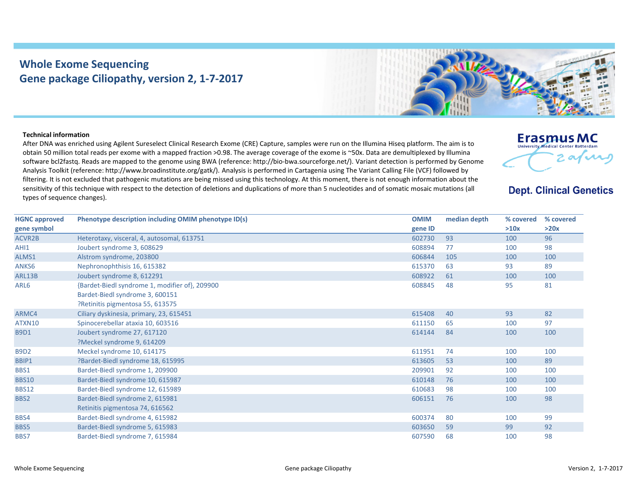## **Whole Exome Sequencing Gene package Ciliopathy, version 2, 1‐7‐2017**



## **Technical information**

After DNA was enriched using Agilent Sureselect Clinical Research Exome (CRE) Capture, samples were run on the Illumina Hiseq platform. The aim is to obtain 50 million total reads per exome with <sup>a</sup> mapped fraction >0.98. The average coverage of the exome is ~50x. Data are demultiplexed by Illumina software bcl2fastq. Reads are mapped to the genome using BWA (reference: http://bio‐bwa.sourceforge.net/). Variant detection is performed by Genome Analysis Toolkit (reference: http://www.broadinstitute.org/gatk/). Analysis is performed in Cartagenia using The Variant Calling File (VCF) followed by filtering. It is not excluded that pathogenic mutations are being missed using this technology. At this moment, there is not enough information about the sensitivity of this technique with respect to the detection of deletions and duplications of more than 5 nucleotides and of somatic mosaic mutations (all types of sequence changes).



**Dept. Clinical Genetics** 

| <b>HGNC approved</b> | Phenotype description including OMIM phenotype ID(s) | <b>OMIM</b> | median depth | % covered | % covered |
|----------------------|------------------------------------------------------|-------------|--------------|-----------|-----------|
| gene symbol          |                                                      | gene ID     |              | >10x      | >20x      |
| ACVR2B               | Heterotaxy, visceral, 4, autosomal, 613751           | 602730      | 93           | 100       | 96        |
| AHI1                 | Joubert syndrome 3, 608629                           | 608894      | 77           | 100       | 98        |
| ALMS1                | Alstrom syndrome, 203800                             | 606844      | 105          | 100       | 100       |
| ANKS6                | Nephronophthisis 16, 615382                          | 615370      | 63           | 93        | 89        |
| ARL13B               | Joubert syndrome 8, 612291                           | 608922      | 61           | 100       | 100       |
| ARL6                 | {Bardet-Biedl syndrome 1, modifier of}, 209900       | 608845      | 48           | 95        | 81        |
|                      | Bardet-Biedl syndrome 3, 600151                      |             |              |           |           |
|                      | ?Retinitis pigmentosa 55, 613575                     |             |              |           |           |
| ARMC4                | Ciliary dyskinesia, primary, 23, 615451              | 615408      | 40           | 93        | 82        |
| ATXN10               | Spinocerebellar ataxia 10, 603516                    | 611150      | 65           | 100       | 97        |
| <b>B9D1</b>          | Joubert syndrome 27, 617120                          | 614144      | 84           | 100       | 100       |
|                      | ?Meckel syndrome 9, 614209                           |             |              |           |           |
| <b>B9D2</b>          | Meckel syndrome 10, 614175                           | 611951      | 74           | 100       | 100       |
| BBIP1                | ?Bardet-Biedl syndrome 18, 615995                    | 613605      | 53           | 100       | 89        |
| BBS1                 | Bardet-Biedl syndrome 1, 209900                      | 209901      | 92           | 100       | 100       |
| <b>BBS10</b>         | Bardet-Biedl syndrome 10, 615987                     | 610148      | 76           | 100       | 100       |
| <b>BBS12</b>         | Bardet-Biedl syndrome 12, 615989                     | 610683      | 98           | 100       | 100       |
| BBS2                 | Bardet-Biedl syndrome 2, 615981                      | 606151      | 76           | 100       | 98        |
|                      | Retinitis pigmentosa 74, 616562                      |             |              |           |           |
| BBS4                 | Bardet-Biedl syndrome 4, 615982                      | 600374      | 80           | 100       | 99        |
| BBS5                 | Bardet-Biedl syndrome 5, 615983                      | 603650      | 59           | 99        | 92        |
| BBS7                 | Bardet-Biedl syndrome 7, 615984                      | 607590      | 68           | 100       | 98        |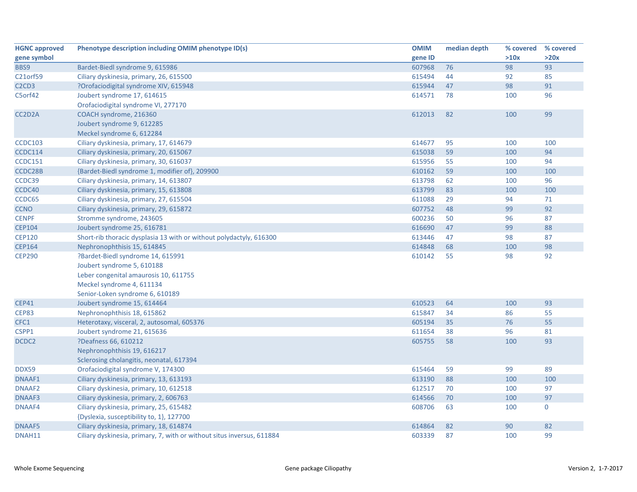| <b>HGNC approved</b>                       | Phenotype description including OMIM phenotype ID(s)                   | <b>OMIM</b> | median depth | % covered | % covered   |
|--------------------------------------------|------------------------------------------------------------------------|-------------|--------------|-----------|-------------|
| gene symbol                                |                                                                        | gene ID     |              | >10x      | >20x        |
| BBS9                                       | Bardet-Biedl syndrome 9, 615986                                        | 607968      | 76           | 98        | 93          |
| C21orf59                                   | Ciliary dyskinesia, primary, 26, 615500                                | 615494      | 44           | 92        | 85          |
| C <sub>2</sub> C <sub>D</sub> <sub>3</sub> | ?Orofaciodigital syndrome XIV, 615948                                  | 615944      | 47           | 98        | 91          |
| C5orf42                                    | Joubert syndrome 17, 614615                                            | 614571      | 78           | 100       | 96          |
|                                            | Orofaciodigital syndrome VI, 277170                                    |             |              |           |             |
| CC2D2A                                     | COACH syndrome, 216360                                                 | 612013      | 82           | 100       | 99          |
|                                            | Joubert syndrome 9, 612285                                             |             |              |           |             |
|                                            | Meckel syndrome 6, 612284                                              |             |              |           |             |
| <b>CCDC103</b>                             | Ciliary dyskinesia, primary, 17, 614679                                | 614677      | 95           | 100       | 100         |
| <b>CCDC114</b>                             | Ciliary dyskinesia, primary, 20, 615067                                | 615038      | 59           | 100       | 94          |
| <b>CCDC151</b>                             | Ciliary dyskinesia, primary, 30, 616037                                | 615956      | 55           | 100       | 94          |
| CCDC28B                                    | {Bardet-Biedl syndrome 1, modifier of}, 209900                         | 610162      | 59           | 100       | 100         |
| CCDC39                                     | Ciliary dyskinesia, primary, 14, 613807                                | 613798      | 62           | 100       | 96          |
| CCDC40                                     | Ciliary dyskinesia, primary, 15, 613808                                | 613799      | 83           | 100       | 100         |
| CCDC65                                     | Ciliary dyskinesia, primary, 27, 615504                                | 611088      | 29           | 94        | 71          |
| <b>CCNO</b>                                | Ciliary dyskinesia, primary, 29, 615872                                | 607752      | 48           | 99        | 92          |
| <b>CENPF</b>                               | Stromme syndrome, 243605                                               | 600236      | 50           | 96        | 87          |
| <b>CEP104</b>                              | Joubert syndrome 25, 616781                                            | 616690      | 47           | 99        | 88          |
| <b>CEP120</b>                              | Short-rib thoracic dysplasia 13 with or without polydactyly, 616300    | 613446      | 47           | 98        | 87          |
| <b>CEP164</b>                              | Nephronophthisis 15, 614845                                            | 614848      | 68           | 100       | 98          |
| <b>CEP290</b>                              | ?Bardet-Biedl syndrome 14, 615991                                      | 610142      | 55           | 98        | 92          |
|                                            | Joubert syndrome 5, 610188                                             |             |              |           |             |
|                                            | Leber congenital amaurosis 10, 611755                                  |             |              |           |             |
|                                            | Meckel syndrome 4, 611134                                              |             |              |           |             |
|                                            | Senior-Loken syndrome 6, 610189                                        |             |              |           |             |
| <b>CEP41</b>                               | Joubert syndrome 15, 614464                                            | 610523      | 64           | 100       | 93          |
| <b>CEP83</b>                               | Nephronophthisis 18, 615862                                            | 615847      | 34           | 86        | 55          |
| CFC1                                       | Heterotaxy, visceral, 2, autosomal, 605376                             | 605194      | 35           | 76        | 55          |
| CSPP1                                      | Joubert syndrome 21, 615636                                            | 611654      | 38           | 96        | 81          |
| DCDC2                                      | ?Deafness 66, 610212                                                   | 605755      | 58           | 100       | 93          |
|                                            | Nephronophthisis 19, 616217                                            |             |              |           |             |
|                                            | Sclerosing cholangitis, neonatal, 617394                               |             |              |           |             |
| DDX59                                      | Orofaciodigital syndrome V, 174300                                     | 615464      | 59           | 99        | 89          |
| DNAAF1                                     | Ciliary dyskinesia, primary, 13, 613193                                | 613190      | 88           | 100       | 100         |
| DNAAF2                                     | Ciliary dyskinesia, primary, 10, 612518                                | 612517      | 70           | 100       | 97          |
| DNAAF3                                     | Ciliary dyskinesia, primary, 2, 606763                                 | 614566      | 70           | 100       | 97          |
| DNAAF4                                     | Ciliary dyskinesia, primary, 25, 615482                                | 608706      | 63           | 100       | $\mathbf 0$ |
|                                            | {Dyslexia, susceptibility to, 1}, 127700                               |             |              |           |             |
| <b>DNAAF5</b>                              | Ciliary dyskinesia, primary, 18, 614874                                | 614864      | 82           | 90        | 82          |
| DNAH11                                     | Ciliary dyskinesia, primary, 7, with or without situs inversus, 611884 | 603339      | 87           | 100       | 99          |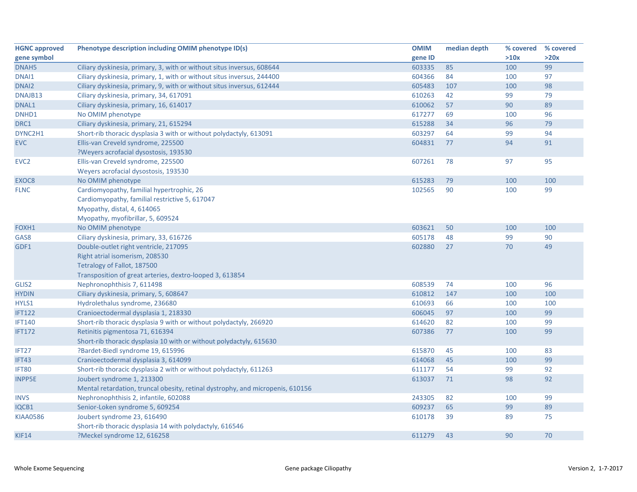| <b>HGNC approved</b> | Phenotype description including OMIM phenotype ID(s)                           | <b>OMIM</b> | median depth | % covered | % covered |
|----------------------|--------------------------------------------------------------------------------|-------------|--------------|-----------|-----------|
| gene symbol          |                                                                                | gene ID     |              | >10x      | >20x      |
| DNAH <sub>5</sub>    | Ciliary dyskinesia, primary, 3, with or without situs inversus, 608644         | 603335      | 85           | 100       | 99        |
| DNAI1                | Ciliary dyskinesia, primary, 1, with or without situs inversus, 244400         | 604366      | 84           | 100       | 97        |
| DNAI <sub>2</sub>    | Ciliary dyskinesia, primary, 9, with or without situs inversus, 612444         | 605483      | 107          | 100       | 98        |
| DNAJB13              | Ciliary dyskinesia, primary, 34, 617091                                        | 610263      | 42           | 99        | 79        |
| DNAL1                | Ciliary dyskinesia, primary, 16, 614017                                        | 610062      | 57           | 90        | 89        |
| DNHD1                | No OMIM phenotype                                                              | 617277      | 69           | 100       | 96        |
| DRC1                 | Ciliary dyskinesia, primary, 21, 615294                                        | 615288      | 34           | 96        | 79        |
| DYNC2H1              | Short-rib thoracic dysplasia 3 with or without polydactyly, 613091             | 603297      | 64           | 99        | 94        |
| <b>EVC</b>           | Ellis-van Creveld syndrome, 225500                                             | 604831      | 77           | 94        | 91        |
|                      | ?Weyers acrofacial dysostosis, 193530                                          |             |              |           |           |
| EVC <sub>2</sub>     | Ellis-van Creveld syndrome, 225500                                             | 607261      | 78           | 97        | 95        |
|                      | Weyers acrofacial dysostosis, 193530                                           |             |              |           |           |
| EXOC8                | No OMIM phenotype                                                              | 615283      | 79           | 100       | 100       |
| <b>FLNC</b>          | Cardiomyopathy, familial hypertrophic, 26                                      | 102565      | 90           | 100       | 99        |
|                      | Cardiomyopathy, familial restrictive 5, 617047                                 |             |              |           |           |
|                      | Myopathy, distal, 4, 614065                                                    |             |              |           |           |
|                      | Myopathy, myofibrillar, 5, 609524                                              |             |              |           |           |
| FOXH1                | No OMIM phenotype                                                              | 603621      | 50           | 100       | 100       |
| GAS8                 | Ciliary dyskinesia, primary, 33, 616726                                        | 605178      | 48           | 99        | 90        |
| GDF1                 | Double-outlet right ventricle, 217095                                          | 602880      | 27           | 70        | 49        |
|                      | Right atrial isomerism, 208530                                                 |             |              |           |           |
|                      | Tetralogy of Fallot, 187500                                                    |             |              |           |           |
|                      | Transposition of great arteries, dextro-looped 3, 613854                       |             |              |           |           |
| GLIS2                | Nephronophthisis 7, 611498                                                     | 608539      | 74           | 100       | 96        |
| <b>HYDIN</b>         | Ciliary dyskinesia, primary, 5, 608647                                         | 610812      | 147          | 100       | 100       |
| HYLS1                | Hydrolethalus syndrome, 236680                                                 | 610693      | 66           | 100       | 100       |
| <b>IFT122</b>        | Cranioectodermal dysplasia 1, 218330                                           | 606045      | 97           | 100       | 99        |
| <b>IFT140</b>        | Short-rib thoracic dysplasia 9 with or without polydactyly, 266920             | 614620      | 82           | 100       | 99        |
| <b>IFT172</b>        | Retinitis pigmentosa 71, 616394                                                | 607386      | 77           | 100       | 99        |
|                      | Short-rib thoracic dysplasia 10 with or without polydactyly, 615630            |             |              |           |           |
| IFT27                | ?Bardet-Biedl syndrome 19, 615996                                              | 615870      | 45           | 100       | 83        |
| IFT43                | Cranioectodermal dysplasia 3, 614099                                           | 614068      | 45           | 100       | 99        |
| IFT80                | Short-rib thoracic dysplasia 2 with or without polydactyly, 611263             | 611177      | 54           | 99        | 92        |
| <b>INPP5E</b>        | Joubert syndrome 1, 213300                                                     | 613037      | 71           | 98        | 92        |
|                      | Mental retardation, truncal obesity, retinal dystrophy, and micropenis, 610156 |             |              |           |           |
| <b>INVS</b>          | Nephronophthisis 2, infantile, 602088                                          | 243305      | 82           | 100       | 99        |
| IQCB1                | Senior-Loken syndrome 5, 609254                                                | 609237      | 65           | 99        | 89        |
| <b>KIAA0586</b>      | Joubert syndrome 23, 616490                                                    | 610178      | 39           | 89        | 75        |
|                      | Short-rib thoracic dysplasia 14 with polydactyly, 616546                       |             |              |           |           |
| <b>KIF14</b>         | ?Meckel syndrome 12, 616258                                                    | 611279      | 43           | 90        | 70        |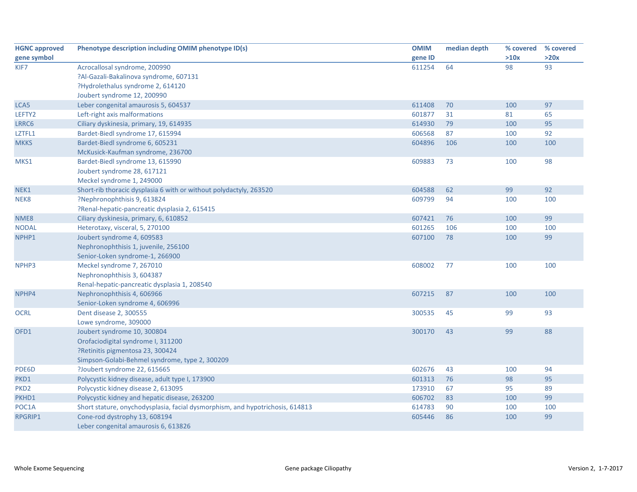| <b>HGNC approved</b> | Phenotype description including OMIM phenotype ID(s)                          | <b>OMIM</b> | median depth | % covered | % covered |
|----------------------|-------------------------------------------------------------------------------|-------------|--------------|-----------|-----------|
| gene symbol          |                                                                               | gene ID     |              | >10x      | >20x      |
| KIF7                 | Acrocallosal syndrome, 200990                                                 | 611254      | 64           | 98        | 93        |
|                      | ?Al-Gazali-Bakalinova syndrome, 607131                                        |             |              |           |           |
|                      | ?Hydrolethalus syndrome 2, 614120                                             |             |              |           |           |
|                      | Joubert syndrome 12, 200990                                                   |             |              |           |           |
| LCA5                 | Leber congenital amaurosis 5, 604537                                          | 611408      | 70           | 100       | 97        |
| LEFTY2               | Left-right axis malformations                                                 | 601877      | 31           | 81        | 65        |
| LRRC6                | Ciliary dyskinesia, primary, 19, 614935                                       | 614930      | 79           | 100       | 95        |
| LZTFL1               | Bardet-Biedl syndrome 17, 615994                                              | 606568      | 87           | 100       | 92        |
| <b>MKKS</b>          | Bardet-Biedl syndrome 6, 605231                                               | 604896      | 106          | 100       | 100       |
|                      | McKusick-Kaufman syndrome, 236700                                             |             |              |           |           |
| MKS1                 | Bardet-Biedl syndrome 13, 615990                                              | 609883      | 73           | 100       | 98        |
|                      | Joubert syndrome 28, 617121                                                   |             |              |           |           |
|                      | Meckel syndrome 1, 249000                                                     |             |              |           |           |
| NEK1                 | Short-rib thoracic dysplasia 6 with or without polydactyly, 263520            | 604588      | 62           | 99        | 92        |
| NEK8                 | ?Nephronophthisis 9, 613824                                                   | 609799      | 94           | 100       | 100       |
|                      | ?Renal-hepatic-pancreatic dysplasia 2, 615415                                 |             |              |           |           |
| NME8                 | Ciliary dyskinesia, primary, 6, 610852                                        | 607421      | 76           | 100       | 99        |
| <b>NODAL</b>         | Heterotaxy, visceral, 5, 270100                                               | 601265      | 106          | 100       | 100       |
| NPHP1                | Joubert syndrome 4, 609583                                                    | 607100      | 78           | 100       | 99        |
|                      | Nephronophthisis 1, juvenile, 256100                                          |             |              |           |           |
|                      | Senior-Loken syndrome-1, 266900                                               |             |              |           |           |
| NPHP3                | Meckel syndrome 7, 267010                                                     | 608002      | 77           | 100       | 100       |
|                      | Nephronophthisis 3, 604387                                                    |             |              |           |           |
|                      | Renal-hepatic-pancreatic dysplasia 1, 208540                                  |             |              |           |           |
| NPHP4                | Nephronophthisis 4, 606966                                                    | 607215      | 87           | 100       | 100       |
|                      | Senior-Loken syndrome 4, 606996                                               |             |              |           |           |
| <b>OCRL</b>          | Dent disease 2, 300555                                                        | 300535      | 45           | 99        | 93        |
|                      | Lowe syndrome, 309000                                                         |             |              |           |           |
| OFD1                 | Joubert syndrome 10, 300804                                                   | 300170      | 43           | 99        | 88        |
|                      | Orofaciodigital syndrome I, 311200                                            |             |              |           |           |
|                      | ?Retinitis pigmentosa 23, 300424                                              |             |              |           |           |
|                      | Simpson-Golabi-Behmel syndrome, type 2, 300209                                |             |              |           |           |
| PDE6D                | ?Joubert syndrome 22, 615665                                                  | 602676      | 43           | 100       | 94        |
| PKD1                 | Polycystic kidney disease, adult type I, 173900                               | 601313      | 76           | 98        | 95        |
| PKD <sub>2</sub>     | Polycystic kidney disease 2, 613095                                           | 173910      | 67           | 95        | 89        |
| PKHD1                | Polycystic kidney and hepatic disease, 263200                                 | 606702      | 83           | 100       | 99        |
| POC1A                | Short stature, onychodysplasia, facial dysmorphism, and hypotrichosis, 614813 | 614783      | 90           | 100       | 100       |
| <b>RPGRIP1</b>       | Cone-rod dystrophy 13, 608194                                                 | 605446      | 86           | 100       | 99        |
|                      | Leber congenital amaurosis 6, 613826                                          |             |              |           |           |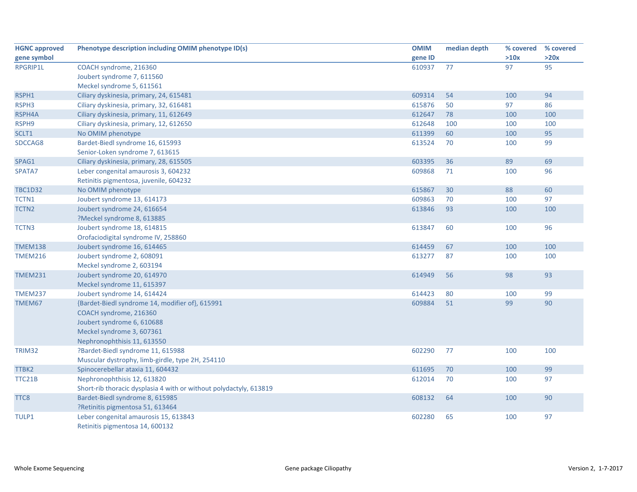| <b>HGNC</b> approved | Phenotype description including OMIM phenotype ID(s)               | <b>OMIM</b> | median depth | % covered | % covered |
|----------------------|--------------------------------------------------------------------|-------------|--------------|-----------|-----------|
| gene symbol          |                                                                    | gene ID     |              | >10x      | >20x      |
| RPGRIP1L             | COACH syndrome, 216360                                             | 610937      | 77           | 97        | 95        |
|                      | Joubert syndrome 7, 611560                                         |             |              |           |           |
|                      | Meckel syndrome 5, 611561                                          |             |              |           |           |
| RSPH1                | Ciliary dyskinesia, primary, 24, 615481                            | 609314      | 54           | 100       | 94        |
| RSPH3                | Ciliary dyskinesia, primary, 32, 616481                            | 615876      | 50           | 97        | 86        |
| RSPH4A               | Ciliary dyskinesia, primary, 11, 612649                            | 612647      | 78           | 100       | 100       |
| RSPH9                | Ciliary dyskinesia, primary, 12, 612650                            | 612648      | 100          | 100       | 100       |
| SCLT1                | No OMIM phenotype                                                  | 611399      | 60           | 100       | 95        |
| SDCCAG8              | Bardet-Biedl syndrome 16, 615993                                   | 613524      | 70           | 100       | 99        |
|                      | Senior-Loken syndrome 7, 613615                                    |             |              |           |           |
| SPAG1                | Ciliary dyskinesia, primary, 28, 615505                            | 603395      | 36           | 89        | 69        |
| SPATA7               | Leber congenital amaurosis 3, 604232                               | 609868      | 71           | 100       | 96        |
|                      | Retinitis pigmentosa, juvenile, 604232                             |             |              |           |           |
| <b>TBC1D32</b>       | No OMIM phenotype                                                  | 615867      | 30           | 88        | 60        |
| TCTN1                | Joubert syndrome 13, 614173                                        | 609863      | 70           | 100       | 97        |
| TCTN <sub>2</sub>    | Joubert syndrome 24, 616654                                        | 613846      | 93           | 100       | 100       |
|                      | ?Meckel syndrome 8, 613885                                         |             |              |           |           |
| TCTN3                | Joubert syndrome 18, 614815                                        | 613847      | 60           | 100       | 96        |
|                      | Orofaciodigital syndrome IV, 258860                                |             |              |           |           |
| <b>TMEM138</b>       | Joubert syndrome 16, 614465                                        | 614459      | 67           | 100       | 100       |
| <b>TMEM216</b>       | Joubert syndrome 2, 608091                                         | 613277      | 87           | 100       | 100       |
|                      | Meckel syndrome 2, 603194                                          |             |              |           |           |
| <b>TMEM231</b>       | Joubert syndrome 20, 614970                                        | 614949      | 56           | 98        | 93        |
|                      | Meckel syndrome 11, 615397                                         |             |              |           |           |
| <b>TMEM237</b>       | Joubert syndrome 14, 614424                                        | 614423      | 80           | 100       | 99        |
| TMEM67               | {Bardet-Biedl syndrome 14, modifier of}, 615991                    | 609884      | 51           | 99        | 90        |
|                      | COACH syndrome, 216360                                             |             |              |           |           |
|                      | Joubert syndrome 6, 610688                                         |             |              |           |           |
|                      | Meckel syndrome 3, 607361                                          |             |              |           |           |
|                      | Nephronophthisis 11, 613550                                        |             |              |           |           |
| TRIM32               | ?Bardet-Biedl syndrome 11, 615988                                  | 602290      | 77           | 100       | 100       |
|                      | Muscular dystrophy, limb-girdle, type 2H, 254110                   |             |              |           |           |
| TTBK2                | Spinocerebellar ataxia 11, 604432                                  | 611695      | 70           | 100       | 99        |
| TTC21B               | Nephronophthisis 12, 613820                                        | 612014      | 70           | 100       | 97        |
|                      | Short-rib thoracic dysplasia 4 with or without polydactyly, 613819 |             |              |           |           |
| TTC8                 | Bardet-Biedl syndrome 8, 615985                                    | 608132      | 64           | 100       | 90        |
|                      | ?Retinitis pigmentosa 51, 613464                                   |             |              |           |           |
| TULP1                | Leber congenital amaurosis 15, 613843                              | 602280      | 65           | 100       | 97        |
|                      | Retinitis pigmentosa 14, 600132                                    |             |              |           |           |